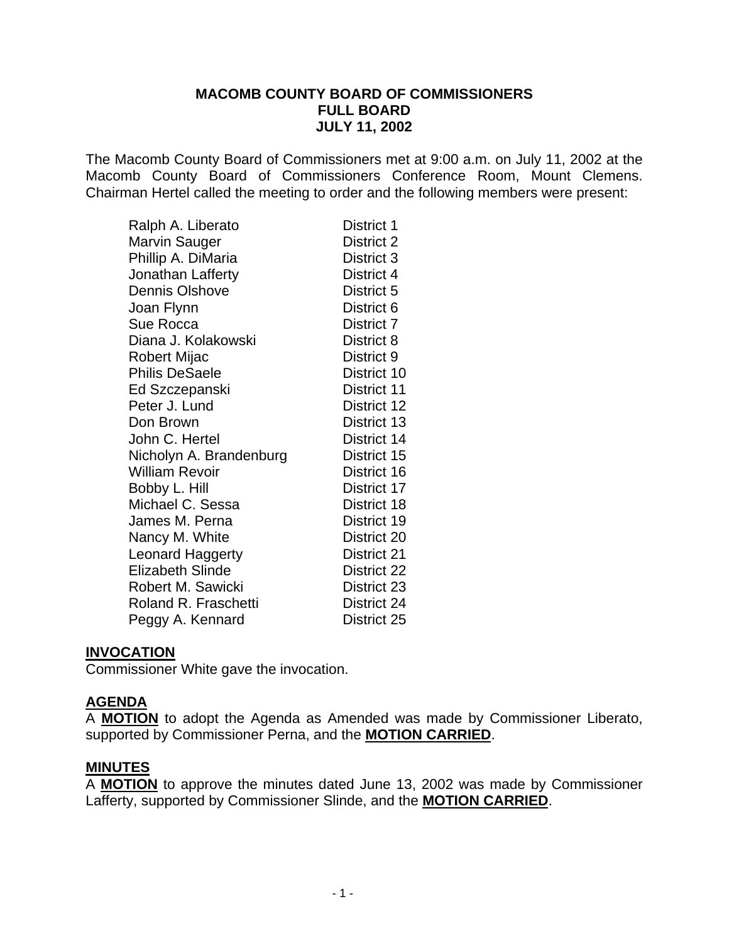### **MACOMB COUNTY BOARD OF COMMISSIONERS FULL BOARD JULY 11, 2002**

The Macomb County Board of Commissioners met at 9:00 a.m. on July 11, 2002 at the Macomb County Board of Commissioners Conference Room, Mount Clemens. Chairman Hertel called the meeting to order and the following members were present:

| Ralph A. Liberato           | District 1  |
|-----------------------------|-------------|
| Marvin Sauger               | District 2  |
| Phillip A. DiMaria          | District 3  |
| Jonathan Lafferty           | District 4  |
| <b>Dennis Olshove</b>       | District 5  |
| Joan Flynn                  | District 6  |
| Sue Rocca                   | District 7  |
| Diana J. Kolakowski         | District 8  |
| Robert Mijac                | District 9  |
| <b>Philis DeSaele</b>       | District 10 |
| Ed Szczepanski              | District 11 |
| Peter J. Lund               | District 12 |
| Don Brown                   | District 13 |
| John C. Hertel              | District 14 |
| Nicholyn A. Brandenburg     | District 15 |
| <b>William Revoir</b>       | District 16 |
| Bobby L. Hill               | District 17 |
| Michael C. Sessa            | District 18 |
| James M. Perna              | District 19 |
| Nancy M. White              | District 20 |
| <b>Leonard Haggerty</b>     | District 21 |
| <b>Elizabeth Slinde</b>     | District 22 |
| Robert M. Sawicki           | District 23 |
| <b>Roland R. Fraschetti</b> | District 24 |
| Peggy A. Kennard            | District 25 |

### **INVOCATION**

Commissioner White gave the invocation.

### **AGENDA**

A **MOTION** to adopt the Agenda as Amended was made by Commissioner Liberato, supported by Commissioner Perna, and the **MOTION CARRIED**.

#### **MINUTES**

A **MOTION** to approve the minutes dated June 13, 2002 was made by Commissioner Lafferty, supported by Commissioner Slinde, and the **MOTION CARRIED**.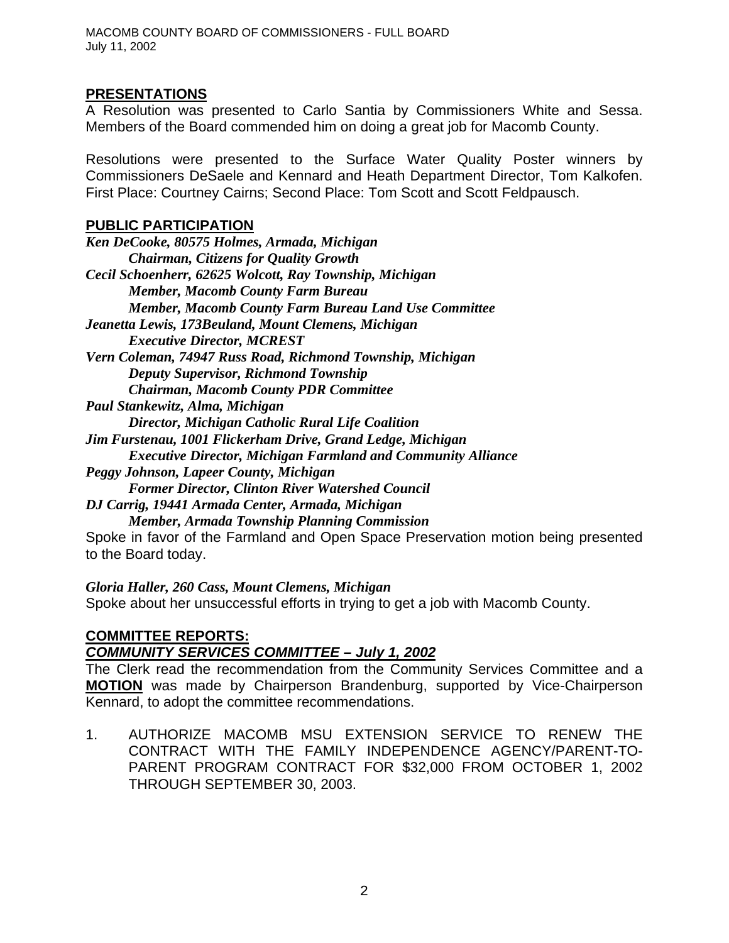### **PRESENTATIONS**

A Resolution was presented to Carlo Santia by Commissioners White and Sessa. Members of the Board commended him on doing a great job for Macomb County.

Resolutions were presented to the Surface Water Quality Poster winners by Commissioners DeSaele and Kennard and Heath Department Director, Tom Kalkofen. First Place: Courtney Cairns; Second Place: Tom Scott and Scott Feldpausch.

#### **PUBLIC PARTICIPATION**

to the Board today.

*Gloria Haller, 260 Cass, Mount Clemens, Michigan* Spoke about her unsuccessful efforts in trying to get a job with Macomb County.

## **COMMITTEE REPORTS:**

### *COMMUNITY SERVICES COMMITTEE – July 1, 2002*

The Clerk read the recommendation from the Community Services Committee and a **MOTION** was made by Chairperson Brandenburg, supported by Vice-Chairperson Kennard, to adopt the committee recommendations.

1. AUTHORIZE MACOMB MSU EXTENSION SERVICE TO RENEW THE CONTRACT WITH THE FAMILY INDEPENDENCE AGENCY/PARENT-TO-PARENT PROGRAM CONTRACT FOR \$32,000 FROM OCTOBER 1, 2002 THROUGH SEPTEMBER 30, 2003.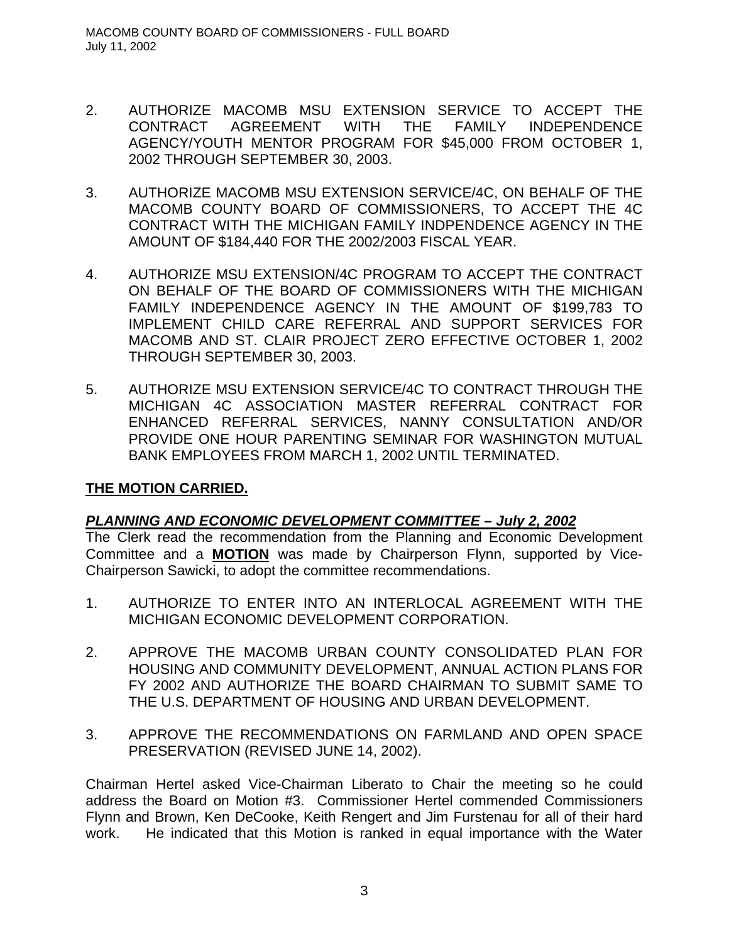- 2. AUTHORIZE MACOMB MSU EXTENSION SERVICE TO ACCEPT THE CONTRACT AGREEMENT WITH THE FAMILY INDEPENDENCE AGENCY/YOUTH MENTOR PROGRAM FOR \$45,000 FROM OCTOBER 1, 2002 THROUGH SEPTEMBER 30, 2003.
- 3. AUTHORIZE MACOMB MSU EXTENSION SERVICE/4C, ON BEHALF OF THE MACOMB COUNTY BOARD OF COMMISSIONERS, TO ACCEPT THE 4C CONTRACT WITH THE MICHIGAN FAMILY INDPENDENCE AGENCY IN THE AMOUNT OF \$184,440 FOR THE 2002/2003 FISCAL YEAR.
- 4. AUTHORIZE MSU EXTENSION/4C PROGRAM TO ACCEPT THE CONTRACT ON BEHALF OF THE BOARD OF COMMISSIONERS WITH THE MICHIGAN FAMILY INDEPENDENCE AGENCY IN THE AMOUNT OF \$199,783 TO IMPLEMENT CHILD CARE REFERRAL AND SUPPORT SERVICES FOR MACOMB AND ST. CLAIR PROJECT ZERO EFFECTIVE OCTOBER 1, 2002 THROUGH SEPTEMBER 30, 2003.
- 5. AUTHORIZE MSU EXTENSION SERVICE/4C TO CONTRACT THROUGH THE MICHIGAN 4C ASSOCIATION MASTER REFERRAL CONTRACT FOR ENHANCED REFERRAL SERVICES, NANNY CONSULTATION AND/OR PROVIDE ONE HOUR PARENTING SEMINAR FOR WASHINGTON MUTUAL BANK EMPLOYEES FROM MARCH 1, 2002 UNTIL TERMINATED.

# **THE MOTION CARRIED.**

# *PLANNING AND ECONOMIC DEVELOPMENT COMMITTEE – July 2, 2002*

The Clerk read the recommendation from the Planning and Economic Development Committee and a **MOTION** was made by Chairperson Flynn, supported by Vice-Chairperson Sawicki, to adopt the committee recommendations.

- 1. AUTHORIZE TO ENTER INTO AN INTERLOCAL AGREEMENT WITH THE MICHIGAN ECONOMIC DEVELOPMENT CORPORATION.
- 2. APPROVE THE MACOMB URBAN COUNTY CONSOLIDATED PLAN FOR HOUSING AND COMMUNITY DEVELOPMENT, ANNUAL ACTION PLANS FOR FY 2002 AND AUTHORIZE THE BOARD CHAIRMAN TO SUBMIT SAME TO THE U.S. DEPARTMENT OF HOUSING AND URBAN DEVELOPMENT.
- 3. APPROVE THE RECOMMENDATIONS ON FARMLAND AND OPEN SPACE PRESERVATION (REVISED JUNE 14, 2002).

Chairman Hertel asked Vice-Chairman Liberato to Chair the meeting so he could address the Board on Motion #3. Commissioner Hertel commended Commissioners Flynn and Brown, Ken DeCooke, Keith Rengert and Jim Furstenau for all of their hard work. He indicated that this Motion is ranked in equal importance with the Water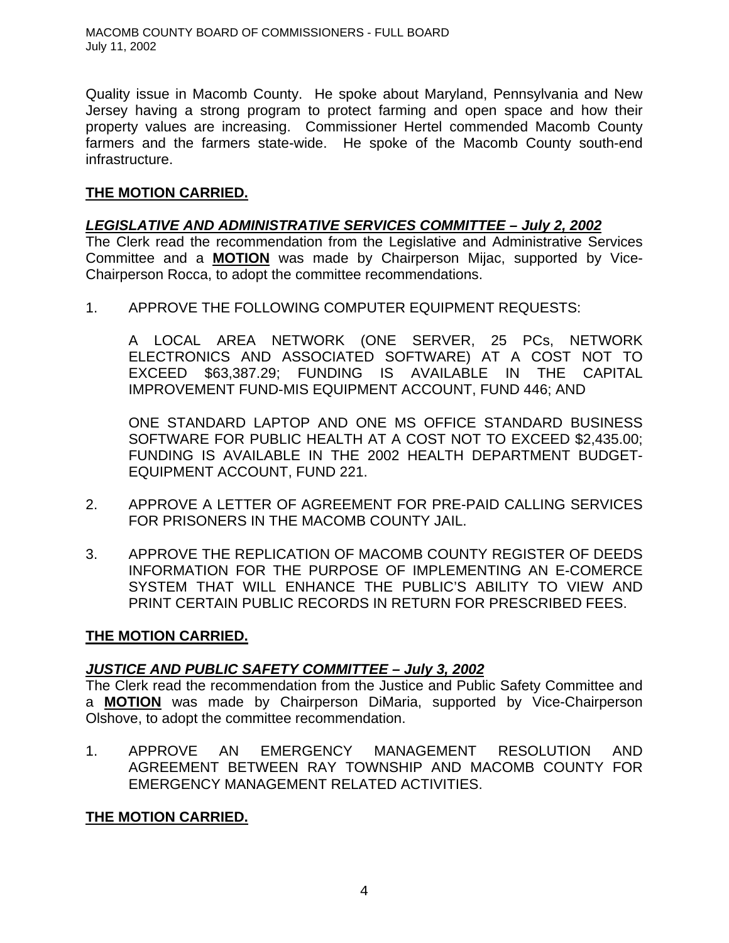Quality issue in Macomb County. He spoke about Maryland, Pennsylvania and New Jersey having a strong program to protect farming and open space and how their property values are increasing. Commissioner Hertel commended Macomb County farmers and the farmers state-wide. He spoke of the Macomb County south-end infrastructure.

## **THE MOTION CARRIED.**

## *LEGISLATIVE AND ADMINISTRATIVE SERVICES COMMITTEE – July 2, 2002*

The Clerk read the recommendation from the Legislative and Administrative Services Committee and a **MOTION** was made by Chairperson Mijac, supported by Vice-Chairperson Rocca, to adopt the committee recommendations.

1. APPROVE THE FOLLOWING COMPUTER EQUIPMENT REQUESTS:

A LOCAL AREA NETWORK (ONE SERVER, 25 PCs, NETWORK ELECTRONICS AND ASSOCIATED SOFTWARE) AT A COST NOT TO EXCEED \$63,387.29; FUNDING IS AVAILABLE IN THE CAPITAL IMPROVEMENT FUND-MIS EQUIPMENT ACCOUNT, FUND 446; AND

ONE STANDARD LAPTOP AND ONE MS OFFICE STANDARD BUSINESS SOFTWARE FOR PUBLIC HEALTH AT A COST NOT TO EXCEED \$2,435.00; FUNDING IS AVAILABLE IN THE 2002 HEALTH DEPARTMENT BUDGET-EQUIPMENT ACCOUNT, FUND 221.

- 2. APPROVE A LETTER OF AGREEMENT FOR PRE-PAID CALLING SERVICES FOR PRISONERS IN THE MACOMB COUNTY JAIL.
- 3. APPROVE THE REPLICATION OF MACOMB COUNTY REGISTER OF DEEDS INFORMATION FOR THE PURPOSE OF IMPLEMENTING AN E-COMERCE SYSTEM THAT WILL ENHANCE THE PUBLIC'S ABILITY TO VIEW AND PRINT CERTAIN PUBLIC RECORDS IN RETURN FOR PRESCRIBED FEES.

## **THE MOTION CARRIED.**

## *JUSTICE AND PUBLIC SAFETY COMMITTEE – July 3, 2002*

The Clerk read the recommendation from the Justice and Public Safety Committee and a **MOTION** was made by Chairperson DiMaria, supported by Vice-Chairperson Olshove, to adopt the committee recommendation.

1. APPROVE AN EMERGENCY MANAGEMENT RESOLUTION AND AGREEMENT BETWEEN RAY TOWNSHIP AND MACOMB COUNTY FOR EMERGENCY MANAGEMENT RELATED ACTIVITIES.

# **THE MOTION CARRIED.**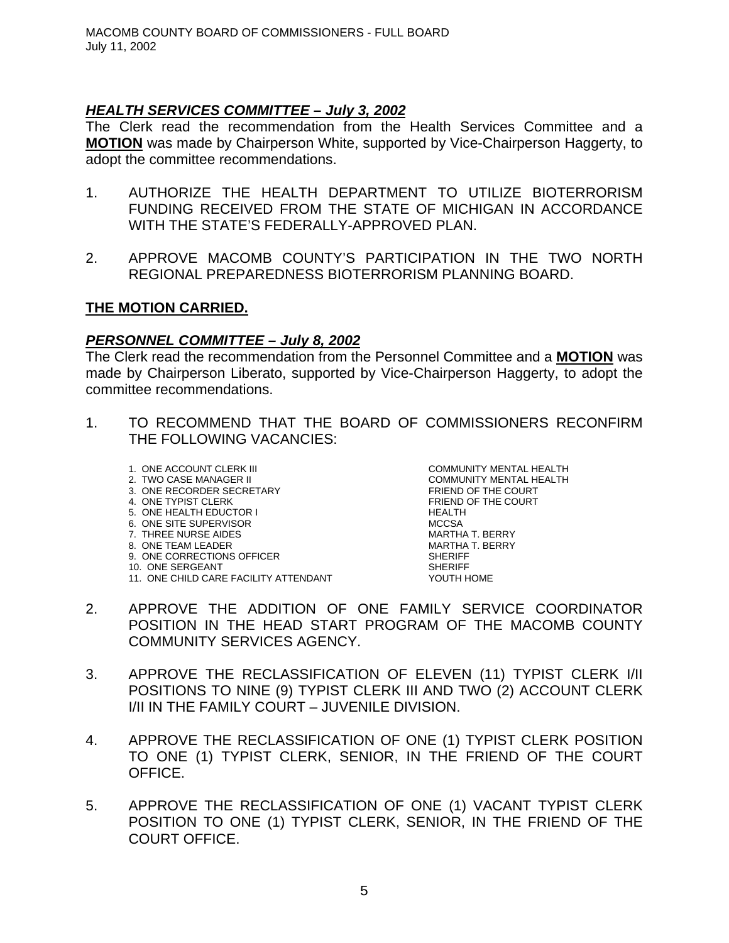## *HEALTH SERVICES COMMITTEE – July 3, 2002*

The Clerk read the recommendation from the Health Services Committee and a **MOTION** was made by Chairperson White, supported by Vice-Chairperson Haggerty, to adopt the committee recommendations.

- 1. AUTHORIZE THE HEALTH DEPARTMENT TO UTILIZE BIOTERRORISM FUNDING RECEIVED FROM THE STATE OF MICHIGAN IN ACCORDANCE WITH THE STATE'S FEDERALLY-APPROVED PLAN.
- 2. APPROVE MACOMB COUNTY'S PARTICIPATION IN THE TWO NORTH REGIONAL PREPAREDNESS BIOTERRORISM PLANNING BOARD.

### **THE MOTION CARRIED.**

### *PERSONNEL COMMITTEE – July 8, 2002*

The Clerk read the recommendation from the Personnel Committee and a **MOTION** was made by Chairperson Liberato, supported by Vice-Chairperson Haggerty, to adopt the committee recommendations.

- 1. TO RECOMMEND THAT THE BOARD OF COMMISSIONERS RECONFIRM THE FOLLOWING VACANCIES:
	- 1. ONE ACCOUNT CLERK III COMMUNITY MENTAL HEALTH
	-
	- 3. ONE RECORDER SECRETARY
	- 5. ONE HEALTH EDUCTOR I HEALTH
	-
	- 7. THREE NURSE AIDES
	- 8. ONE TEAM LEADER MARTHA T. BERRY
	- 9. ONE CORRECTIONS OFFICER<br>10. ONE SERGEANT SHERIFF
	-
	- 10. ONE SERGEANT<br>11. ONE CHILD CARE FACILITY ATTENDANT SHERIFF SHERIFF SHERIFF 11. ONE CHILD CARE FACILITY ATTENDANT

2. TWO CASE MANAGER II COMMUNITY MENTAL HEALTH<br>3. ONE RECORDER SECRETARY COMMUNITY MENTAL HEALTH 4. ONE TYPIST CLERK FRIEND OF THE COURT 6. ONE SITE SUPERVISOR<br>
7. THREE NURSE AIDES<br>
T. THREE NURSE AIDES

- 2. APPROVE THE ADDITION OF ONE FAMILY SERVICE COORDINATOR POSITION IN THE HEAD START PROGRAM OF THE MACOMB COUNTY COMMUNITY SERVICES AGENCY.
- 3. APPROVE THE RECLASSIFICATION OF ELEVEN (11) TYPIST CLERK I/II POSITIONS TO NINE (9) TYPIST CLERK III AND TWO (2) ACCOUNT CLERK I/II IN THE FAMILY COURT – JUVENILE DIVISION.
- 4. APPROVE THE RECLASSIFICATION OF ONE (1) TYPIST CLERK POSITION TO ONE (1) TYPIST CLERK, SENIOR, IN THE FRIEND OF THE COURT OFFICE.
- 5. APPROVE THE RECLASSIFICATION OF ONE (1) VACANT TYPIST CLERK POSITION TO ONE (1) TYPIST CLERK, SENIOR, IN THE FRIEND OF THE COURT OFFICE.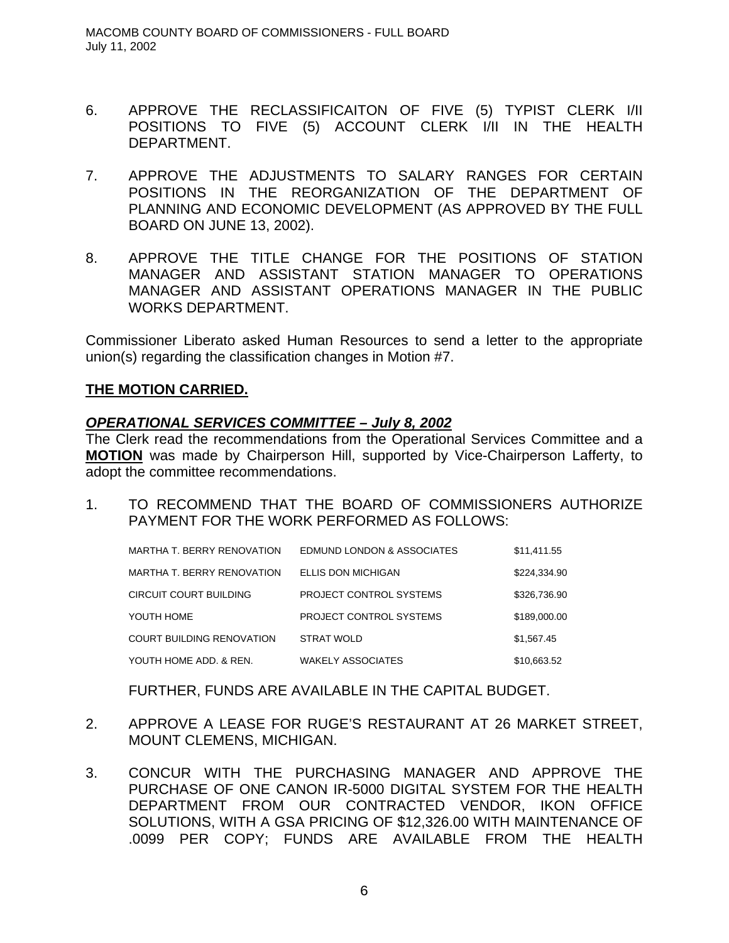- 6. APPROVE THE RECLASSIFICAITON OF FIVE (5) TYPIST CLERK I/II POSITIONS TO FIVE (5) ACCOUNT CLERK I/II IN THE HEALTH DEPARTMENT.
- 7. APPROVE THE ADJUSTMENTS TO SALARY RANGES FOR CERTAIN POSITIONS IN THE REORGANIZATION OF THE DEPARTMENT OF PLANNING AND ECONOMIC DEVELOPMENT (AS APPROVED BY THE FULL BOARD ON JUNE 13, 2002).
- 8. APPROVE THE TITLE CHANGE FOR THE POSITIONS OF STATION MANAGER AND ASSISTANT STATION MANAGER TO OPERATIONS MANAGER AND ASSISTANT OPERATIONS MANAGER IN THE PUBLIC WORKS DEPARTMENT.

Commissioner Liberato asked Human Resources to send a letter to the appropriate union(s) regarding the classification changes in Motion #7.

### **THE MOTION CARRIED.**

### *OPERATIONAL SERVICES COMMITTEE – July 8, 2002*

The Clerk read the recommendations from the Operational Services Committee and a **MOTION** was made by Chairperson Hill, supported by Vice-Chairperson Lafferty, to adopt the committee recommendations.

1. TO RECOMMEND THAT THE BOARD OF COMMISSIONERS AUTHORIZE PAYMENT FOR THE WORK PERFORMED AS FOLLOWS:

| MARTHA T. BERRY RENOVATION | EDMUND LONDON & ASSOCIATES | \$11.411.55  |
|----------------------------|----------------------------|--------------|
| MARTHA T. BERRY RENOVATION | <b>ELLIS DON MICHIGAN</b>  | \$224,334.90 |
| CIRCUIT COURT BUILDING     | PROJECT CONTROL SYSTEMS    | \$326,736.90 |
| YOUTH HOME                 | PROJECT CONTROL SYSTEMS    | \$189,000.00 |
| COURT BUILDING RENOVATION  | <b>STRAT WOLD</b>          | \$1,567.45   |
| YOUTH HOME ADD. & REN.     | <b>WAKELY ASSOCIATES</b>   | \$10,663.52  |

FURTHER, FUNDS ARE AVAILABLE IN THE CAPITAL BUDGET.

- 2. APPROVE A LEASE FOR RUGE'S RESTAURANT AT 26 MARKET STREET, MOUNT CLEMENS, MICHIGAN.
- 3. CONCUR WITH THE PURCHASING MANAGER AND APPROVE THE PURCHASE OF ONE CANON IR-5000 DIGITAL SYSTEM FOR THE HEALTH DEPARTMENT FROM OUR CONTRACTED VENDOR, IKON OFFICE SOLUTIONS, WITH A GSA PRICING OF \$12,326.00 WITH MAINTENANCE OF .0099 PER COPY; FUNDS ARE AVAILABLE FROM THE HEALTH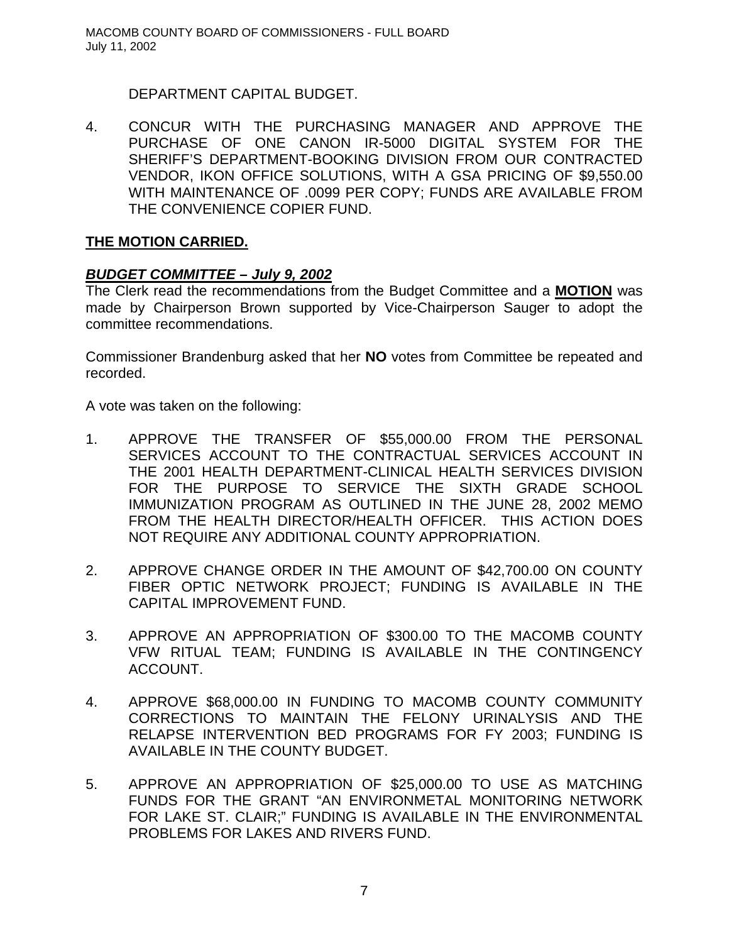DEPARTMENT CAPITAL BUDGET.

4. CONCUR WITH THE PURCHASING MANAGER AND APPROVE THE PURCHASE OF ONE CANON IR-5000 DIGITAL SYSTEM FOR THE SHERIFF'S DEPARTMENT-BOOKING DIVISION FROM OUR CONTRACTED VENDOR, IKON OFFICE SOLUTIONS, WITH A GSA PRICING OF \$9,550.00 WITH MAINTENANCE OF .0099 PER COPY; FUNDS ARE AVAILABLE FROM THE CONVENIENCE COPIER FUND.

## **THE MOTION CARRIED.**

## *BUDGET COMMITTEE – July 9, 2002*

The Clerk read the recommendations from the Budget Committee and a **MOTION** was made by Chairperson Brown supported by Vice-Chairperson Sauger to adopt the committee recommendations.

Commissioner Brandenburg asked that her **NO** votes from Committee be repeated and recorded.

A vote was taken on the following:

- 1. APPROVE THE TRANSFER OF \$55,000.00 FROM THE PERSONAL SERVICES ACCOUNT TO THE CONTRACTUAL SERVICES ACCOUNT IN THE 2001 HEALTH DEPARTMENT-CLINICAL HEALTH SERVICES DIVISION FOR THE PURPOSE TO SERVICE THE SIXTH GRADE SCHOOL IMMUNIZATION PROGRAM AS OUTLINED IN THE JUNE 28, 2002 MEMO FROM THE HEALTH DIRECTOR/HEALTH OFFICER. THIS ACTION DOES NOT REQUIRE ANY ADDITIONAL COUNTY APPROPRIATION.
- 2. APPROVE CHANGE ORDER IN THE AMOUNT OF \$42,700.00 ON COUNTY FIBER OPTIC NETWORK PROJECT; FUNDING IS AVAILABLE IN THE CAPITAL IMPROVEMENT FUND.
- 3. APPROVE AN APPROPRIATION OF \$300.00 TO THE MACOMB COUNTY VFW RITUAL TEAM; FUNDING IS AVAILABLE IN THE CONTINGENCY ACCOUNT.
- 4. APPROVE \$68,000.00 IN FUNDING TO MACOMB COUNTY COMMUNITY CORRECTIONS TO MAINTAIN THE FELONY URINALYSIS AND THE RELAPSE INTERVENTION BED PROGRAMS FOR FY 2003; FUNDING IS AVAILABLE IN THE COUNTY BUDGET.
- 5. APPROVE AN APPROPRIATION OF \$25,000.00 TO USE AS MATCHING FUNDS FOR THE GRANT "AN ENVIRONMETAL MONITORING NETWORK FOR LAKE ST. CLAIR;" FUNDING IS AVAILABLE IN THE ENVIRONMENTAL PROBLEMS FOR LAKES AND RIVERS FUND.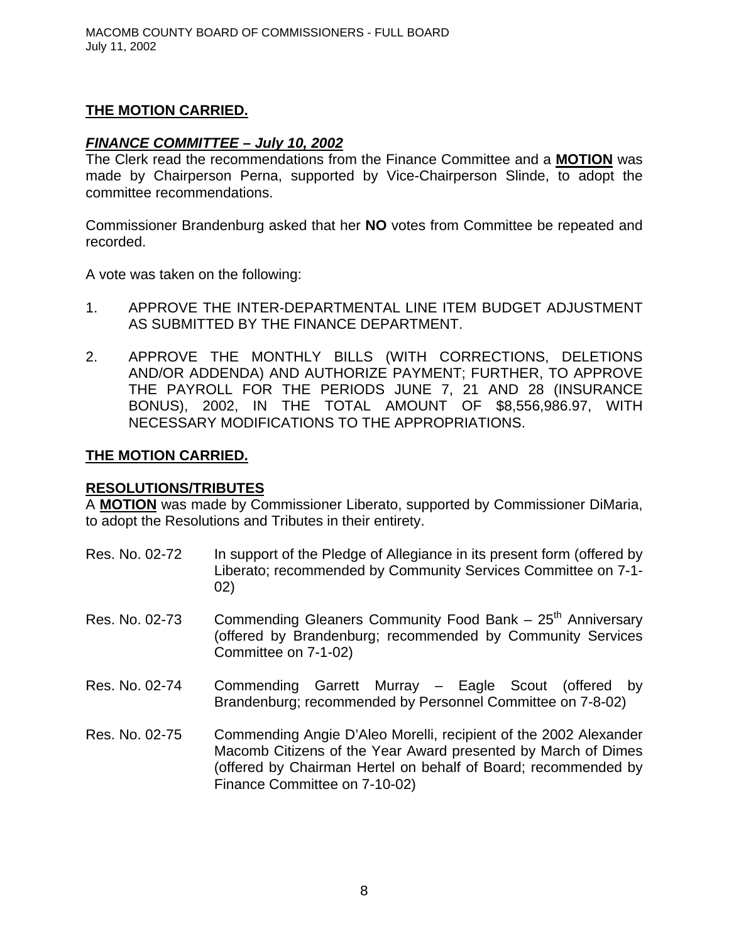## **THE MOTION CARRIED.**

## *FINANCE COMMITTEE – July 10, 2002*

The Clerk read the recommendations from the Finance Committee and a **MOTION** was made by Chairperson Perna, supported by Vice-Chairperson Slinde, to adopt the committee recommendations.

Commissioner Brandenburg asked that her **NO** votes from Committee be repeated and recorded.

A vote was taken on the following:

- 1. APPROVE THE INTER-DEPARTMENTAL LINE ITEM BUDGET ADJUSTMENT AS SUBMITTED BY THE FINANCE DEPARTMENT.
- 2. APPROVE THE MONTHLY BILLS (WITH CORRECTIONS, DELETIONS AND/OR ADDENDA) AND AUTHORIZE PAYMENT; FURTHER, TO APPROVE THE PAYROLL FOR THE PERIODS JUNE 7, 21 AND 28 (INSURANCE BONUS), 2002, IN THE TOTAL AMOUNT OF \$8,556,986.97, WITH NECESSARY MODIFICATIONS TO THE APPROPRIATIONS.

### **THE MOTION CARRIED.**

## **RESOLUTIONS/TRIBUTES**

A **MOTION** was made by Commissioner Liberato, supported by Commissioner DiMaria, to adopt the Resolutions and Tributes in their entirety.

- Res. No. 02-72 In support of the Pledge of Allegiance in its present form (offered by Liberato; recommended by Community Services Committee on 7-1- 02)
- Res. No. 02-73 Commending Gleaners Community Food Bank  $-25<sup>th</sup>$  Anniversary (offered by Brandenburg; recommended by Community Services Committee on 7-1-02)
- Res. No. 02-74 Commending Garrett Murray Eagle Scout (offered by Brandenburg; recommended by Personnel Committee on 7-8-02)
- Res. No. 02-75 Commending Angie D'Aleo Morelli, recipient of the 2002 Alexander Macomb Citizens of the Year Award presented by March of Dimes (offered by Chairman Hertel on behalf of Board; recommended by Finance Committee on 7-10-02)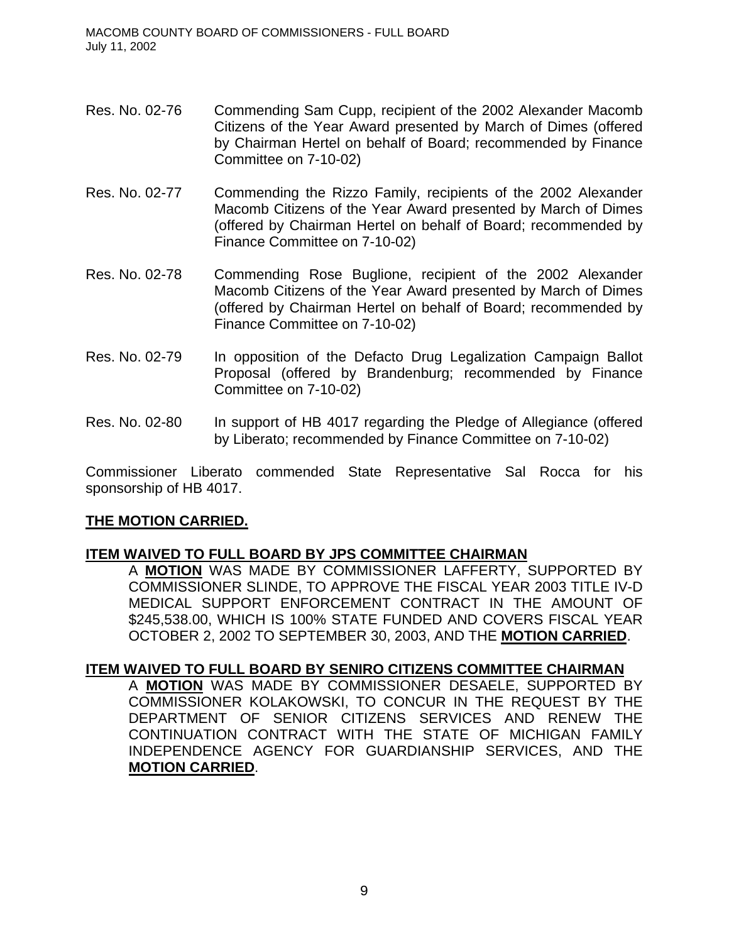- Res. No. 02-76 Commending Sam Cupp, recipient of the 2002 Alexander Macomb Citizens of the Year Award presented by March of Dimes (offered by Chairman Hertel on behalf of Board; recommended by Finance Committee on 7-10-02)
- Res. No. 02-77 Commending the Rizzo Family, recipients of the 2002 Alexander Macomb Citizens of the Year Award presented by March of Dimes (offered by Chairman Hertel on behalf of Board; recommended by Finance Committee on 7-10-02)
- Res. No. 02-78 Commending Rose Buglione, recipient of the 2002 Alexander Macomb Citizens of the Year Award presented by March of Dimes (offered by Chairman Hertel on behalf of Board; recommended by Finance Committee on 7-10-02)
- Res. No. 02-79 In opposition of the Defacto Drug Legalization Campaign Ballot Proposal (offered by Brandenburg; recommended by Finance Committee on 7-10-02)
- Res. No. 02-80 In support of HB 4017 regarding the Pledge of Allegiance (offered by Liberato; recommended by Finance Committee on 7-10-02)

Commissioner Liberato commended State Representative Sal Rocca for his sponsorship of HB 4017.

## **THE MOTION CARRIED.**

## **ITEM WAIVED TO FULL BOARD BY JPS COMMITTEE CHAIRMAN**

A **MOTION** WAS MADE BY COMMISSIONER LAFFERTY, SUPPORTED BY COMMISSIONER SLINDE, TO APPROVE THE FISCAL YEAR 2003 TITLE IV-D MEDICAL SUPPORT ENFORCEMENT CONTRACT IN THE AMOUNT OF \$245,538.00, WHICH IS 100% STATE FUNDED AND COVERS FISCAL YEAR OCTOBER 2, 2002 TO SEPTEMBER 30, 2003, AND THE **MOTION CARRIED**.

### **ITEM WAIVED TO FULL BOARD BY SENIRO CITIZENS COMMITTEE CHAIRMAN**

A **MOTION** WAS MADE BY COMMISSIONER DESAELE, SUPPORTED BY COMMISSIONER KOLAKOWSKI, TO CONCUR IN THE REQUEST BY THE DEPARTMENT OF SENIOR CITIZENS SERVICES AND RENEW THE CONTINUATION CONTRACT WITH THE STATE OF MICHIGAN FAMILY INDEPENDENCE AGENCY FOR GUARDIANSHIP SERVICES, AND THE **MOTION CARRIED**.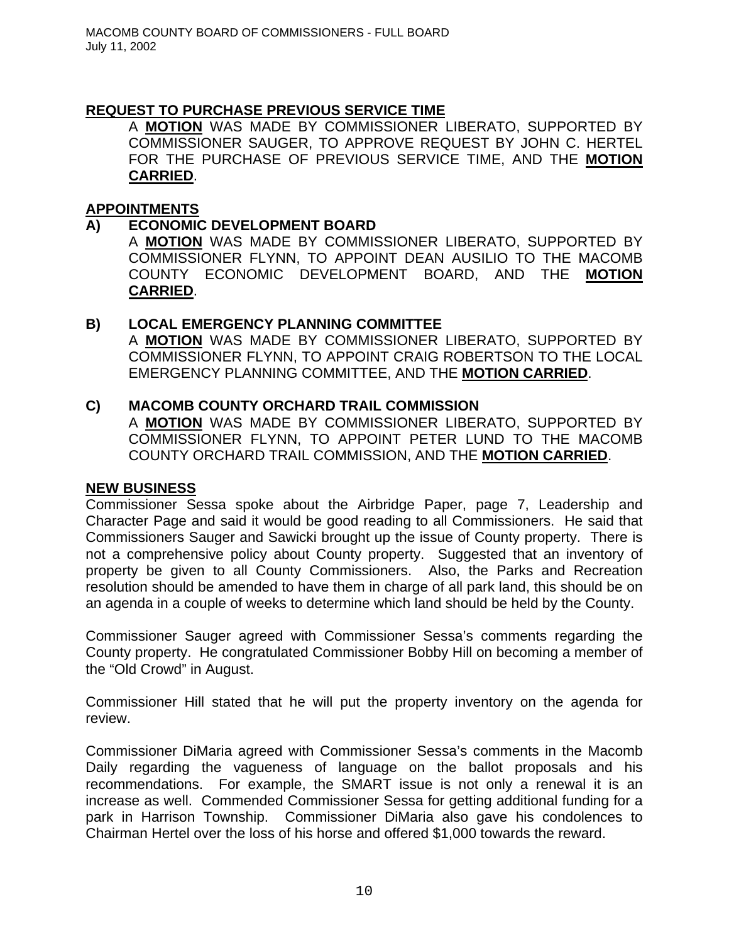## **REQUEST TO PURCHASE PREVIOUS SERVICE TIME**

A **MOTION** WAS MADE BY COMMISSIONER LIBERATO, SUPPORTED BY COMMISSIONER SAUGER, TO APPROVE REQUEST BY JOHN C. HERTEL FOR THE PURCHASE OF PREVIOUS SERVICE TIME, AND THE **MOTION CARRIED**.

### **APPOINTMENTS**

### **A) ECONOMIC DEVELOPMENT BOARD**

A **MOTION** WAS MADE BY COMMISSIONER LIBERATO, SUPPORTED BY COMMISSIONER FLYNN, TO APPOINT DEAN AUSILIO TO THE MACOMB COUNTY ECONOMIC DEVELOPMENT BOARD, AND THE **MOTION CARRIED**.

### **B) LOCAL EMERGENCY PLANNING COMMITTEE**

A **MOTION** WAS MADE BY COMMISSIONER LIBERATO, SUPPORTED BY COMMISSIONER FLYNN, TO APPOINT CRAIG ROBERTSON TO THE LOCAL EMERGENCY PLANNING COMMITTEE, AND THE **MOTION CARRIED**.

### **C) MACOMB COUNTY ORCHARD TRAIL COMMISSION**

A **MOTION** WAS MADE BY COMMISSIONER LIBERATO, SUPPORTED BY COMMISSIONER FLYNN, TO APPOINT PETER LUND TO THE MACOMB COUNTY ORCHARD TRAIL COMMISSION, AND THE **MOTION CARRIED**.

### **NEW BUSINESS**

Commissioner Sessa spoke about the Airbridge Paper, page 7, Leadership and Character Page and said it would be good reading to all Commissioners. He said that Commissioners Sauger and Sawicki brought up the issue of County property. There is not a comprehensive policy about County property. Suggested that an inventory of property be given to all County Commissioners. Also, the Parks and Recreation resolution should be amended to have them in charge of all park land, this should be on an agenda in a couple of weeks to determine which land should be held by the County.

Commissioner Sauger agreed with Commissioner Sessa's comments regarding the County property. He congratulated Commissioner Bobby Hill on becoming a member of the "Old Crowd" in August.

Commissioner Hill stated that he will put the property inventory on the agenda for review.

Commissioner DiMaria agreed with Commissioner Sessa's comments in the Macomb Daily regarding the vagueness of language on the ballot proposals and his recommendations. For example, the SMART issue is not only a renewal it is an increase as well. Commended Commissioner Sessa for getting additional funding for a park in Harrison Township. Commissioner DiMaria also gave his condolences to Chairman Hertel over the loss of his horse and offered \$1,000 towards the reward.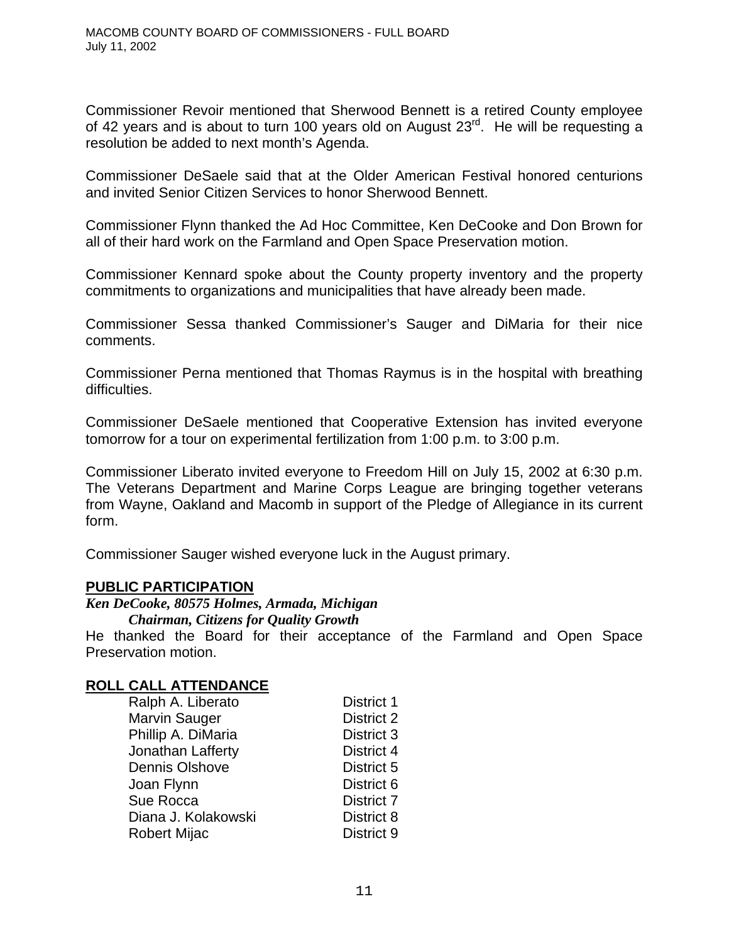Commissioner Revoir mentioned that Sherwood Bennett is a retired County employee of 42 years and is about to turn 100 years old on August 23<sup>rd</sup>. He will be requesting a resolution be added to next month's Agenda.

Commissioner DeSaele said that at the Older American Festival honored centurions and invited Senior Citizen Services to honor Sherwood Bennett.

Commissioner Flynn thanked the Ad Hoc Committee, Ken DeCooke and Don Brown for all of their hard work on the Farmland and Open Space Preservation motion.

Commissioner Kennard spoke about the County property inventory and the property commitments to organizations and municipalities that have already been made.

Commissioner Sessa thanked Commissioner's Sauger and DiMaria for their nice comments.

Commissioner Perna mentioned that Thomas Raymus is in the hospital with breathing difficulties.

Commissioner DeSaele mentioned that Cooperative Extension has invited everyone tomorrow for a tour on experimental fertilization from 1:00 p.m. to 3:00 p.m.

Commissioner Liberato invited everyone to Freedom Hill on July 15, 2002 at 6:30 p.m. The Veterans Department and Marine Corps League are bringing together veterans from Wayne, Oakland and Macomb in support of the Pledge of Allegiance in its current form.

Commissioner Sauger wished everyone luck in the August primary.

### **PUBLIC PARTICIPATION**

*Ken DeCooke, 80575 Holmes, Armada, Michigan*

*Chairman, Citizens for Quality Growth*

He thanked the Board for their acceptance of the Farmland and Open Space Preservation motion.

## **ROLL CALL ATTENDANCE**

| Ralph A. Liberato     | <b>District 1</b> |
|-----------------------|-------------------|
| <b>Marvin Sauger</b>  | District 2        |
| Phillip A. DiMaria    | District 3        |
| Jonathan Lafferty     | District 4        |
| <b>Dennis Olshove</b> | District 5        |
| Joan Flynn            | District 6        |
| Sue Rocca             | <b>District 7</b> |
| Diana J. Kolakowski   | District 8        |
| <b>Robert Mijac</b>   | District 9        |